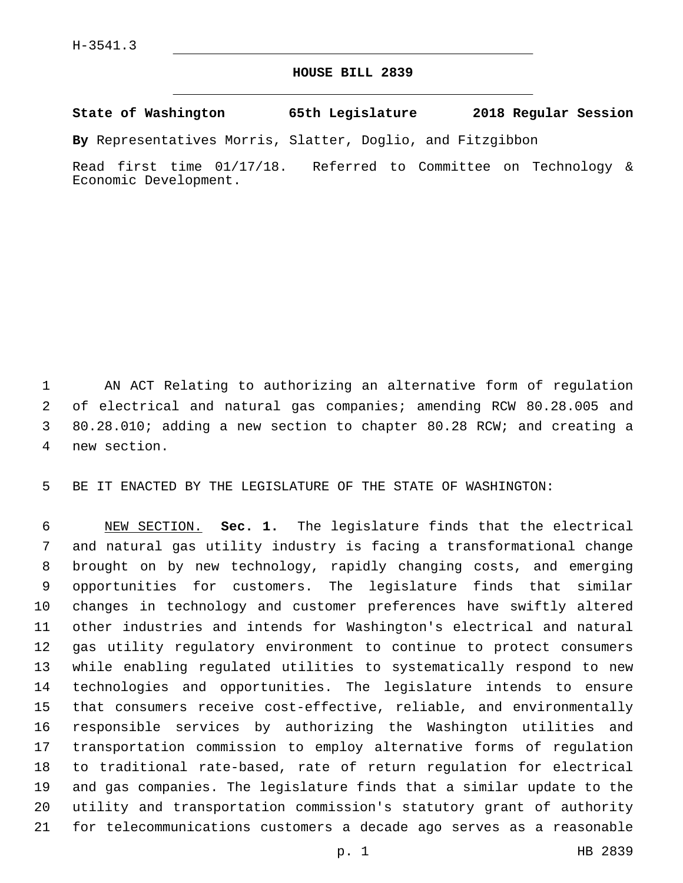## **HOUSE BILL 2839**

**State of Washington 65th Legislature 2018 Regular Session**

**By** Representatives Morris, Slatter, Doglio, and Fitzgibbon

Read first time 01/17/18. Referred to Committee on Technology & Economic Development.

 AN ACT Relating to authorizing an alternative form of regulation of electrical and natural gas companies; amending RCW 80.28.005 and 80.28.010; adding a new section to chapter 80.28 RCW; and creating a 4 new section.

BE IT ENACTED BY THE LEGISLATURE OF THE STATE OF WASHINGTON:

 NEW SECTION. **Sec. 1.** The legislature finds that the electrical and natural gas utility industry is facing a transformational change brought on by new technology, rapidly changing costs, and emerging opportunities for customers. The legislature finds that similar changes in technology and customer preferences have swiftly altered other industries and intends for Washington's electrical and natural gas utility regulatory environment to continue to protect consumers while enabling regulated utilities to systematically respond to new technologies and opportunities. The legislature intends to ensure that consumers receive cost-effective, reliable, and environmentally responsible services by authorizing the Washington utilities and transportation commission to employ alternative forms of regulation to traditional rate-based, rate of return regulation for electrical and gas companies. The legislature finds that a similar update to the utility and transportation commission's statutory grant of authority for telecommunications customers a decade ago serves as a reasonable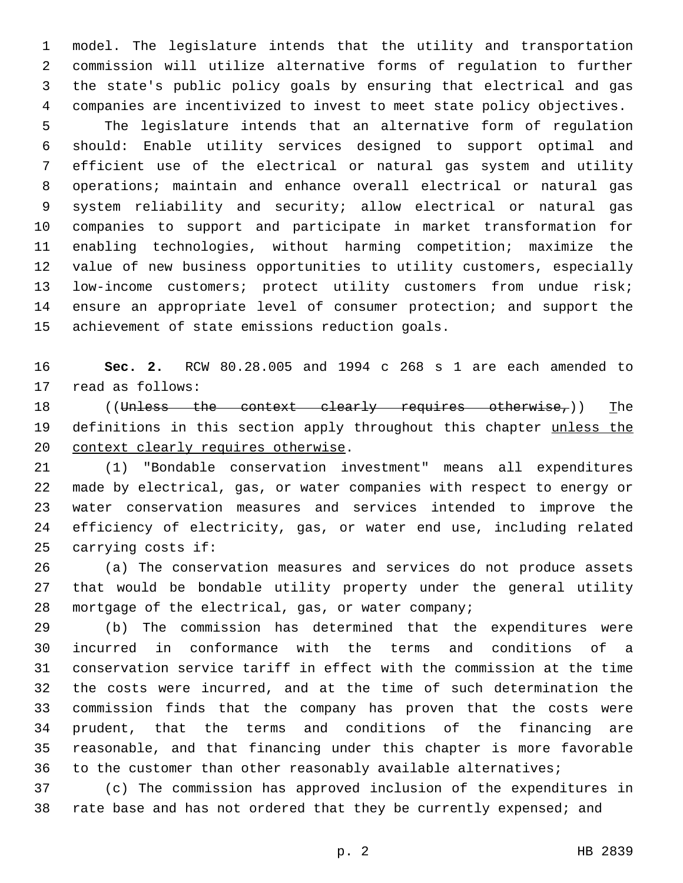model. The legislature intends that the utility and transportation commission will utilize alternative forms of regulation to further the state's public policy goals by ensuring that electrical and gas companies are incentivized to invest to meet state policy objectives. The legislature intends that an alternative form of regulation should: Enable utility services designed to support optimal and efficient use of the electrical or natural gas system and utility operations; maintain and enhance overall electrical or natural gas system reliability and security; allow electrical or natural gas companies to support and participate in market transformation for enabling technologies, without harming competition; maximize the

 low-income customers; protect utility customers from undue risk; ensure an appropriate level of consumer protection; and support the 15 achievement of state emissions reduction goals.

value of new business opportunities to utility customers, especially

 **Sec. 2.** RCW 80.28.005 and 1994 c 268 s 1 are each amended to 17 read as follows:

18 ((Unless the context clearly requires otherwise,)) The 19 definitions in this section apply throughout this chapter unless the 20 context clearly requires otherwise.

 (1) "Bondable conservation investment" means all expenditures made by electrical, gas, or water companies with respect to energy or water conservation measures and services intended to improve the efficiency of electricity, gas, or water end use, including related 25 carrying costs if:

 (a) The conservation measures and services do not produce assets that would be bondable utility property under the general utility mortgage of the electrical, gas, or water company;

 (b) The commission has determined that the expenditures were incurred in conformance with the terms and conditions of a conservation service tariff in effect with the commission at the time the costs were incurred, and at the time of such determination the commission finds that the company has proven that the costs were prudent, that the terms and conditions of the financing are reasonable, and that financing under this chapter is more favorable to the customer than other reasonably available alternatives;

 (c) The commission has approved inclusion of the expenditures in 38 rate base and has not ordered that they be currently expensed; and

p. 2 HB 2839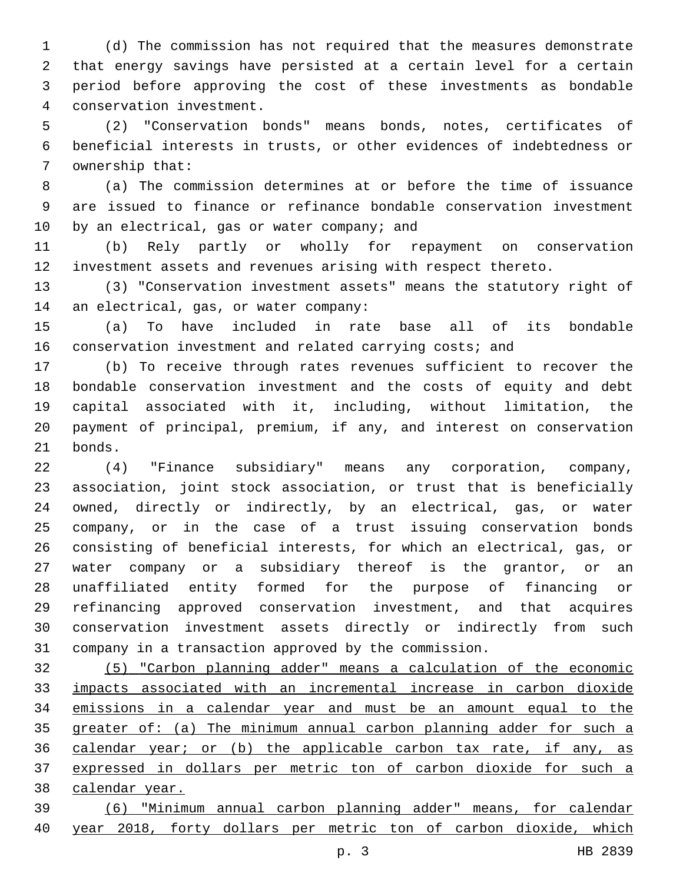(d) The commission has not required that the measures demonstrate that energy savings have persisted at a certain level for a certain period before approving the cost of these investments as bondable 4 conservation investment.

 (2) "Conservation bonds" means bonds, notes, certificates of beneficial interests in trusts, or other evidences of indebtedness or 7 ownership that:

 (a) The commission determines at or before the time of issuance are issued to finance or refinance bondable conservation investment 10 by an electrical, gas or water company; and

 (b) Rely partly or wholly for repayment on conservation investment assets and revenues arising with respect thereto.

 (3) "Conservation investment assets" means the statutory right of 14 an electrical, gas, or water company:

 (a) To have included in rate base all of its bondable conservation investment and related carrying costs; and

 (b) To receive through rates revenues sufficient to recover the bondable conservation investment and the costs of equity and debt capital associated with it, including, without limitation, the payment of principal, premium, if any, and interest on conservation 21 bonds.

 (4) "Finance subsidiary" means any corporation, company, association, joint stock association, or trust that is beneficially owned, directly or indirectly, by an electrical, gas, or water company, or in the case of a trust issuing conservation bonds consisting of beneficial interests, for which an electrical, gas, or water company or a subsidiary thereof is the grantor, or an unaffiliated entity formed for the purpose of financing or refinancing approved conservation investment, and that acquires conservation investment assets directly or indirectly from such company in a transaction approved by the commission.

 (5) "Carbon planning adder" means a calculation of the economic impacts associated with an incremental increase in carbon dioxide emissions in a calendar year and must be an amount equal to the greater of: (a) The minimum annual carbon planning adder for such a calendar year; or (b) the applicable carbon tax rate, if any, as expressed in dollars per metric ton of carbon dioxide for such a 38 calendar year.

 (6) "Minimum annual carbon planning adder" means, for calendar year 2018, forty dollars per metric ton of carbon dioxide, which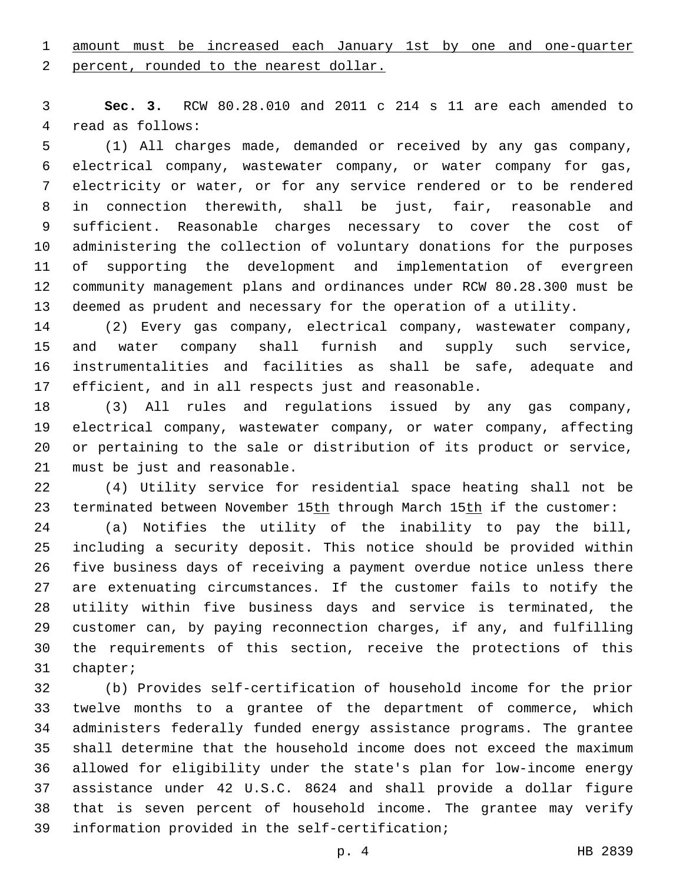amount must be increased each January 1st by one and one-quarter

2 percent, rounded to the nearest dollar.

 **Sec. 3.** RCW 80.28.010 and 2011 c 214 s 11 are each amended to 4 read as follows:

 (1) All charges made, demanded or received by any gas company, electrical company, wastewater company, or water company for gas, electricity or water, or for any service rendered or to be rendered in connection therewith, shall be just, fair, reasonable and sufficient. Reasonable charges necessary to cover the cost of administering the collection of voluntary donations for the purposes of supporting the development and implementation of evergreen community management plans and ordinances under RCW 80.28.300 must be deemed as prudent and necessary for the operation of a utility.

 (2) Every gas company, electrical company, wastewater company, and water company shall furnish and supply such service, instrumentalities and facilities as shall be safe, adequate and efficient, and in all respects just and reasonable.

 (3) All rules and regulations issued by any gas company, electrical company, wastewater company, or water company, affecting or pertaining to the sale or distribution of its product or service, 21 must be just and reasonable.

 (4) Utility service for residential space heating shall not be 23 terminated between November 15th through March 15th if the customer:

 (a) Notifies the utility of the inability to pay the bill, including a security deposit. This notice should be provided within five business days of receiving a payment overdue notice unless there are extenuating circumstances. If the customer fails to notify the utility within five business days and service is terminated, the customer can, by paying reconnection charges, if any, and fulfilling the requirements of this section, receive the protections of this 31 chapter;

 (b) Provides self-certification of household income for the prior twelve months to a grantee of the department of commerce, which administers federally funded energy assistance programs. The grantee shall determine that the household income does not exceed the maximum allowed for eligibility under the state's plan for low-income energy assistance under 42 U.S.C. 8624 and shall provide a dollar figure that is seven percent of household income. The grantee may verify 39 information provided in the self-certification;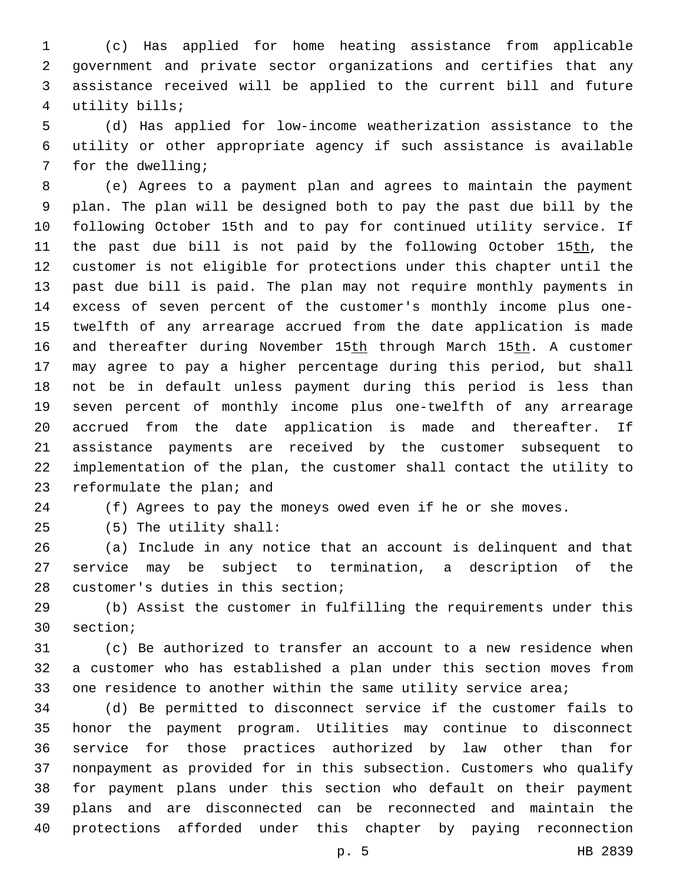(c) Has applied for home heating assistance from applicable government and private sector organizations and certifies that any assistance received will be applied to the current bill and future utility bills;4

 (d) Has applied for low-income weatherization assistance to the utility or other appropriate agency if such assistance is available 7 for the dwelling;

 (e) Agrees to a payment plan and agrees to maintain the payment plan. The plan will be designed both to pay the past due bill by the following October 15th and to pay for continued utility service. If 11 the past due bill is not paid by the following October 15th, the customer is not eligible for protections under this chapter until the past due bill is paid. The plan may not require monthly payments in excess of seven percent of the customer's monthly income plus one- twelfth of any arrearage accrued from the date application is made 16 and thereafter during November 15th through March 15th. A customer may agree to pay a higher percentage during this period, but shall not be in default unless payment during this period is less than seven percent of monthly income plus one-twelfth of any arrearage accrued from the date application is made and thereafter. If assistance payments are received by the customer subsequent to implementation of the plan, the customer shall contact the utility to 23 reformulate the plan; and

(f) Agrees to pay the moneys owed even if he or she moves.

(5) The utility shall:25

 (a) Include in any notice that an account is delinquent and that service may be subject to termination, a description of the 28 customer's duties in this section;

 (b) Assist the customer in fulfilling the requirements under this 30 section;

 (c) Be authorized to transfer an account to a new residence when a customer who has established a plan under this section moves from one residence to another within the same utility service area;

 (d) Be permitted to disconnect service if the customer fails to honor the payment program. Utilities may continue to disconnect service for those practices authorized by law other than for nonpayment as provided for in this subsection. Customers who qualify for payment plans under this section who default on their payment plans and are disconnected can be reconnected and maintain the protections afforded under this chapter by paying reconnection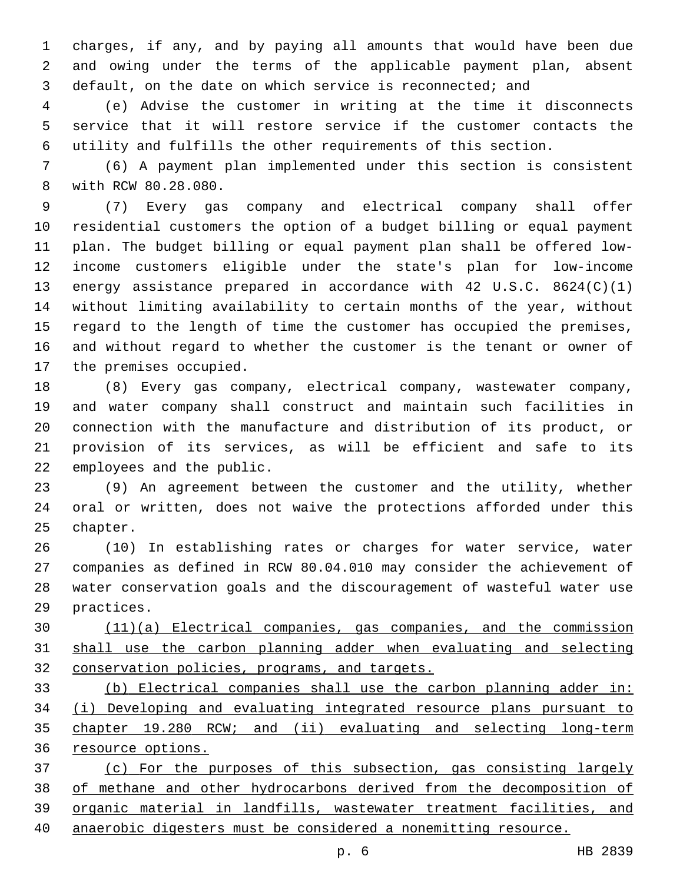charges, if any, and by paying all amounts that would have been due and owing under the terms of the applicable payment plan, absent default, on the date on which service is reconnected; and

 (e) Advise the customer in writing at the time it disconnects service that it will restore service if the customer contacts the utility and fulfills the other requirements of this section.

 (6) A payment plan implemented under this section is consistent 8 with RCW 80.28.080.

 (7) Every gas company and electrical company shall offer residential customers the option of a budget billing or equal payment plan. The budget billing or equal payment plan shall be offered low- income customers eligible under the state's plan for low-income energy assistance prepared in accordance with 42 U.S.C. 8624(C)(1) without limiting availability to certain months of the year, without regard to the length of time the customer has occupied the premises, and without regard to whether the customer is the tenant or owner of 17 the premises occupied.

 (8) Every gas company, electrical company, wastewater company, and water company shall construct and maintain such facilities in connection with the manufacture and distribution of its product, or provision of its services, as will be efficient and safe to its 22 employees and the public.

 (9) An agreement between the customer and the utility, whether oral or written, does not waive the protections afforded under this 25 chapter.

 (10) In establishing rates or charges for water service, water companies as defined in RCW 80.04.010 may consider the achievement of water conservation goals and the discouragement of wasteful water use 29 practices.

 (11)(a) Electrical companies, gas companies, and the commission shall use the carbon planning adder when evaluating and selecting conservation policies, programs, and targets.

 (b) Electrical companies shall use the carbon planning adder in: (i) Developing and evaluating integrated resource plans pursuant to chapter 19.280 RCW; and (ii) evaluating and selecting long-term resource options.

 (c) For the purposes of this subsection, gas consisting largely of methane and other hydrocarbons derived from the decomposition of organic material in landfills, wastewater treatment facilities, and anaerobic digesters must be considered a nonemitting resource.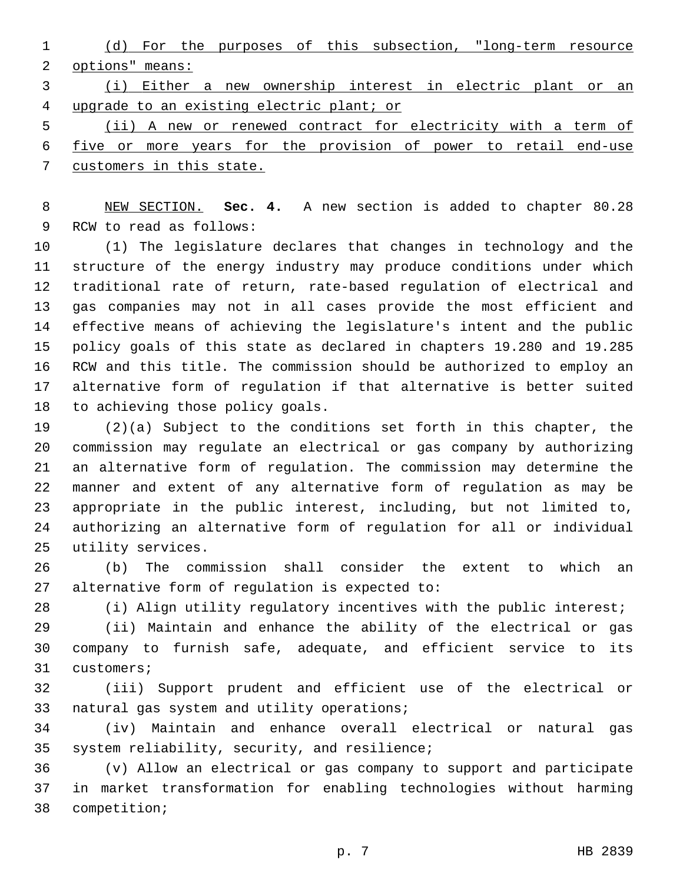(d) For the purposes of this subsection, "long-term resource options" means:

 (i) Either a new ownership interest in electric plant or an upgrade to an existing electric plant; or

 (ii) A new or renewed contract for electricity with a term of five or more years for the provision of power to retail end-use customers in this state.

 NEW SECTION. **Sec. 4.** A new section is added to chapter 80.28 9 RCW to read as follows:

 (1) The legislature declares that changes in technology and the structure of the energy industry may produce conditions under which traditional rate of return, rate-based regulation of electrical and gas companies may not in all cases provide the most efficient and effective means of achieving the legislature's intent and the public policy goals of this state as declared in chapters 19.280 and 19.285 RCW and this title. The commission should be authorized to employ an alternative form of regulation if that alternative is better suited 18 to achieving those policy goals.

 (2)(a) Subject to the conditions set forth in this chapter, the commission may regulate an electrical or gas company by authorizing an alternative form of regulation. The commission may determine the manner and extent of any alternative form of regulation as may be appropriate in the public interest, including, but not limited to, authorizing an alternative form of regulation for all or individual 25 utility services.

 (b) The commission shall consider the extent to which an alternative form of regulation is expected to:

(i) Align utility regulatory incentives with the public interest;

 (ii) Maintain and enhance the ability of the electrical or gas company to furnish safe, adequate, and efficient service to its 31 customers;

 (iii) Support prudent and efficient use of the electrical or 33 natural gas system and utility operations;

 (iv) Maintain and enhance overall electrical or natural gas 35 system reliability, security, and resilience;

 (v) Allow an electrical or gas company to support and participate in market transformation for enabling technologies without harming 38 competition;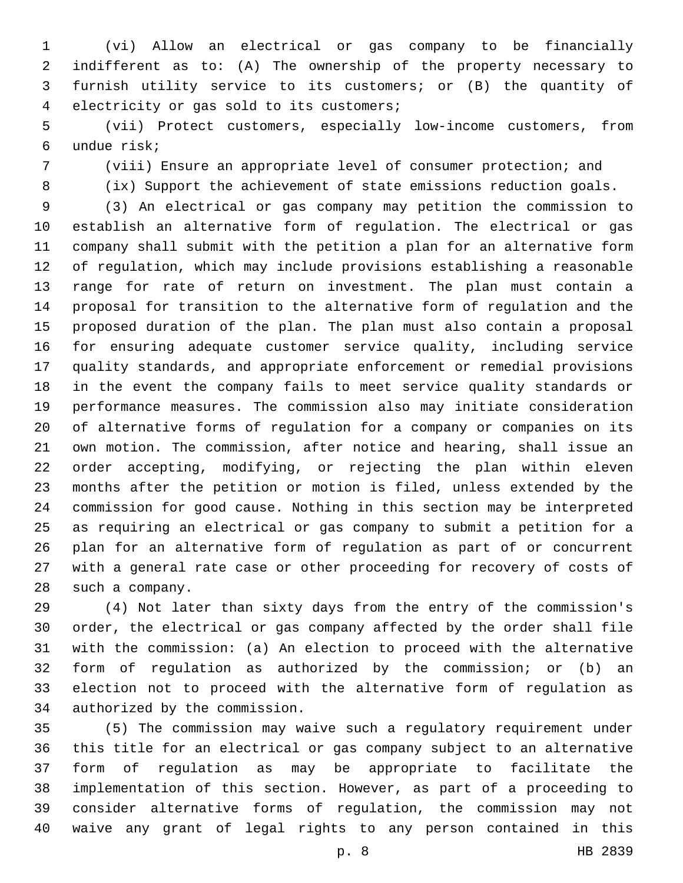(vi) Allow an electrical or gas company to be financially indifferent as to: (A) The ownership of the property necessary to furnish utility service to its customers; or (B) the quantity of electricity or gas sold to its customers;4

 (vii) Protect customers, especially low-income customers, from undue risk;6

(viii) Ensure an appropriate level of consumer protection; and

(ix) Support the achievement of state emissions reduction goals.

 (3) An electrical or gas company may petition the commission to establish an alternative form of regulation. The electrical or gas company shall submit with the petition a plan for an alternative form of regulation, which may include provisions establishing a reasonable range for rate of return on investment. The plan must contain a proposal for transition to the alternative form of regulation and the proposed duration of the plan. The plan must also contain a proposal for ensuring adequate customer service quality, including service quality standards, and appropriate enforcement or remedial provisions in the event the company fails to meet service quality standards or performance measures. The commission also may initiate consideration of alternative forms of regulation for a company or companies on its own motion. The commission, after notice and hearing, shall issue an order accepting, modifying, or rejecting the plan within eleven months after the petition or motion is filed, unless extended by the commission for good cause. Nothing in this section may be interpreted as requiring an electrical or gas company to submit a petition for a plan for an alternative form of regulation as part of or concurrent with a general rate case or other proceeding for recovery of costs of 28 such a company.

 (4) Not later than sixty days from the entry of the commission's order, the electrical or gas company affected by the order shall file with the commission: (a) An election to proceed with the alternative form of regulation as authorized by the commission; or (b) an election not to proceed with the alternative form of regulation as 34 authorized by the commission.

 (5) The commission may waive such a regulatory requirement under this title for an electrical or gas company subject to an alternative form of regulation as may be appropriate to facilitate the implementation of this section. However, as part of a proceeding to consider alternative forms of regulation, the commission may not waive any grant of legal rights to any person contained in this